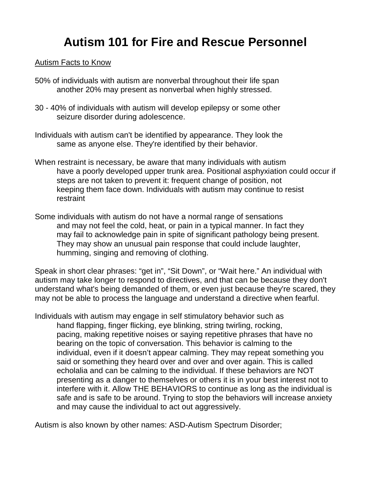## **Autism 101 for Fire and Rescue Personnel**

## Autism Facts to Know

- 50% of individuals with autism are nonverbal throughout their life span another 20% may present as nonverbal when highly stressed.
- 30 40% of individuals with autism will develop epilepsy or some other seizure disorder during adolescence.
- Individuals with autism can't be identified by appearance. They look the same as anyone else. They're identified by their behavior.
- When restraint is necessary, be aware that many individuals with autism have a poorly developed upper trunk area. Positional asphyxiation could occur if steps are not taken to prevent it: frequent change of position, not keeping them face down. Individuals with autism may continue to resist restraint
- Some individuals with autism do not have a normal range of sensations and may not feel the cold, heat, or pain in a typical manner. In fact they may fail to acknowledge pain in spite of significant pathology being present. They may show an unusual pain response that could include laughter, humming, singing and removing of clothing.

Speak in short clear phrases: "get in", "Sit Down", or "Wait here." An individual with autism may take longer to respond to directives, and that can be because they don't understand what's being demanded of them, or even just because they're scared, they may not be able to process the language and understand a directive when fearful.

Individuals with autism may engage in self stimulatory behavior such as hand flapping, finger flicking, eye blinking, string twirling, rocking, pacing, making repetitive noises or saying repetitive phrases that have no bearing on the topic of conversation. This behavior is calming to the individual, even if it doesn't appear calming. They may repeat something you said or something they heard over and over and over again. This is called echolalia and can be calming to the individual. If these behaviors are NOT presenting as a danger to themselves or others it is in your best interest not to interfere with it. Allow THE BEHAVIORS to continue as long as the individual is safe and is safe to be around. Trying to stop the behaviors will increase anxiety and may cause the individual to act out aggressively.

Autism is also known by other names: ASD-Autism Spectrum Disorder;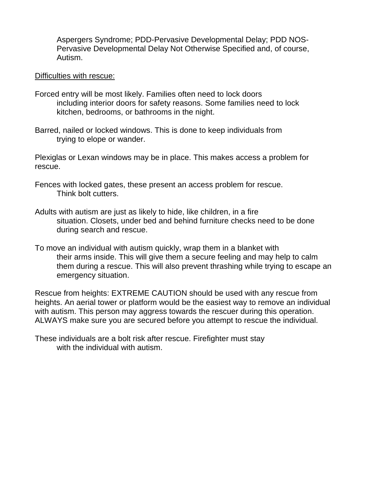Aspergers Syndrome; PDD-Pervasive Developmental Delay; PDD NOS-Pervasive Developmental Delay Not Otherwise Specified and, of course, Autism.

## Difficulties with rescue:

- Forced entry will be most likely. Families often need to lock doors including interior doors for safety reasons. Some families need to lock kitchen, bedrooms, or bathrooms in the night.
- Barred, nailed or locked windows. This is done to keep individuals from trying to elope or wander.

Plexiglas or Lexan windows may be in place. This makes access a problem for rescue.

- Fences with locked gates, these present an access problem for rescue. Think bolt cutters.
- Adults with autism are just as likely to hide, like children, in a fire situation. Closets, under bed and behind furniture checks need to be done during search and rescue.
- To move an individual with autism quickly, wrap them in a blanket with their arms inside. This will give them a secure feeling and may help to calm them during a rescue. This will also prevent thrashing while trying to escape an emergency situation.

Rescue from heights: EXTREME CAUTION should be used with any rescue from heights. An aerial tower or platform would be the easiest way to remove an individual with autism. This person may aggress towards the rescuer during this operation. ALWAYS make sure you are secured before you attempt to rescue the individual.

These individuals are a bolt risk after rescue. Firefighter must stay with the individual with autism.